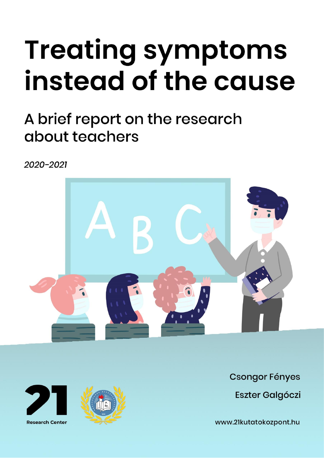# **Treating symptoms** instead of the cause

## A brief report on the research about teachers

 $2020 - 2021$ 







**Csongor Fényes Eszter Galgóczi** 

www.21kutatokozpont.hu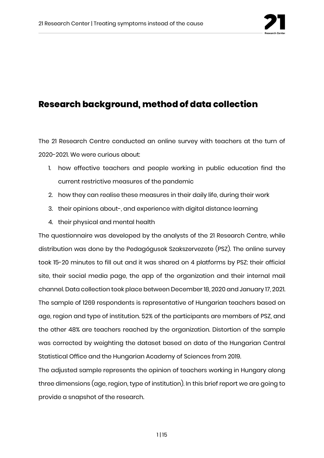

#### **Research background, method of data collection**

The 21 Research Centre conducted an online survey with teachers at the turn of 2020-2021. We were curious about:

- 1. how effective teachers and people working in public education find the current restrictive measures of the pandemic
- 2. how they can realise these measures in their daily life, during their work
- 3. their opinions about-, and experience with digital distance learning
- 4. their physical and mental health

The questionnaire was developed by the analysts of the 21 Research Centre, while distribution was done by the Pedagógusok Szakszervezete (PSZ). The online survey took 15-20 minutes to fill out and it was shared on 4 platforms by PSZ: their official site, their social media page, the app of the organization and their internal mail channel. Data collection took place between December 18, 2020 and January 17, 2021. The sample of 1269 respondents is representative of Hungarian teachers based on age, region and type of institution. 52% of the participants are members of PSZ, and the other 48% are teachers reached by the organization. Distortion of the sample was corrected by weighting the dataset based on data of the Hungarian Central Statistical Office and the Hungarian Academy of Sciences from 2019.

The adjusted sample represents the opinion of teachers working in Hungary along three dimensions (age, region, type of institution). In this brief report we are going to provide a snapshot of the research.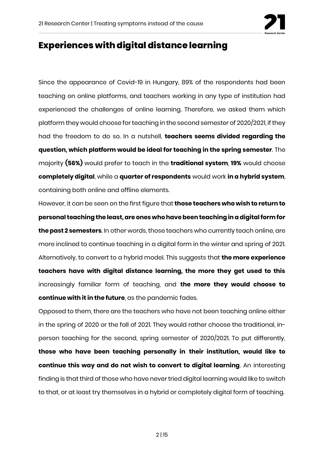

#### **Experiences with digital distance learning**

Since the appearance of Covid-19 in Hungary, 89% of the respondents had been teaching on online platforms, and teachers working in any type of institution had experienced the challenges of online learning. Therefore, we asked them which platform they would choose for teaching in the second semester of 2020/2021, if they had the freedom to do so. In a nutshell, **teachers seems divided regarding the question, which platform would be ideal for teaching in the spring semester**. The majority **(56%)** would prefer to teach in the **traditional system**, **19%** would choose **completely digital**, while a **quarter of respondents** would work **in a hybrid system**, containing both online and offline elements.

However, it can be seen on the first figure that **those teachers who wish to return to personal teaching the least, are ones who have been teaching in a digital form for the past 2 semesters**. In other words, those teachers who currently teach online, are more inclined to continue teaching in a digital form in the winter and spring of 2021. Alternatively, to convert to a hybrid model. This suggests that **the more experience teachers have with digital distance learning, the more they get used to this**  increasingly familiar form of teaching, and **the more they would choose to continue with it in the future**, as the pandemic fades.

Opposed to them, there are the teachers who have not been teaching online either in the spring of 2020 or the fall of 2021. They would rather choose the traditional, inperson teaching for the second, spring semester of 2020/2021. To put differently, **those who have been teaching personally in their institution, would like to continue this way and do not wish to convert to digital learning**. An interesting finding is that third of those who have never tried digital learning would like to switch to that, or at least try themselves in a hybrid or completely digital form of teaching.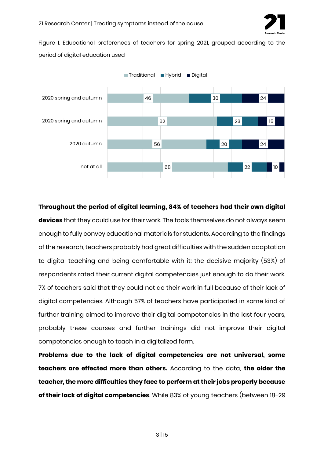

Figure 1. Educational preferences of teachers for spring 2021, grouped according to the period of digital education used



**Throughout the period of digital learning, 84% of teachers had their own digital devices** that they could use for their work. The tools themselves do not always seem enough to fully convey educational materials for students. According to the findings of the research, teachers probably had great difficulties with the sudden adaptation to digital teaching and being comfortable with it: the decisive majority (53%) of respondents rated their current digital competencies just enough to do their work. 7% of teachers said that they could not do their work in full because of their lack of digital competencies. Although 57% of teachers have participated in some kind of further training aimed to improve their digital competencies in the last four years, probably these courses and further trainings did not improve their digital competencies enough to teach in a digitalized form.

**Problems due to the lack of digital competencies are not universal, some teachers are effected more than others.** According to the data, **the older the teacher, the more difficulties they face to perform at their jobs properly because of their lack of digital competencies**. While 83% of young teachers (between 18-29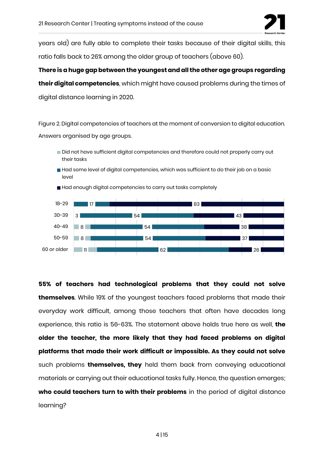

years old) are fully able to complete their tasks because of their digital skills, this ratio falls back to 26% among the older group of teachers (above 60).

**There is a huge gap between the youngest and all the other age groups regarding their digital competencies**, which might have caused problems during the times of digital distance learning in 2020.

Figure 2. Digital competencies of teachers at the moment of conversion to digital education. Answers organised by age groups.

- Did not have sufficient digital competencies and therefore could not properly carry out their tasks
- Had some level of digital competencies, which was sufficient to do their job on a basic level



Had enough digital competencies to carry out tasks completely

**55% of teachers had technological problems that they could not solve themselves**. While 19% of the youngest teachers faced problems that made their everyday work difficult, among those teachers that often have decades long experience, this ratio is 56-63%. The statement above holds true here as well, **the older the teacher, the more likely that they had faced problems on digital platforms that made their work difficult or impossible. As they could not solve** such problems **themselves, they** held them back from conveying educational materials or carrying out their educational tasks fully. Hence, the question emerges; **who could teachers turn to with their problems** in the period of digital distance learning?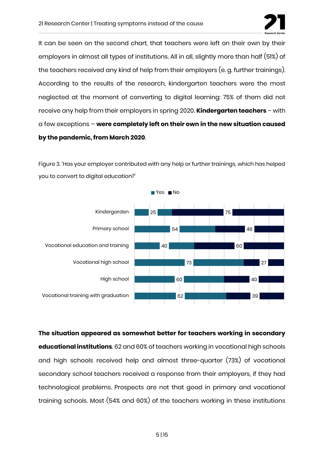

It can be seen on the second chart, that teachers were left on their own by their employers in almost all types of institutions. All in all, slightly more than half (51%) of the teachers received any kind of help from their employers (e. g. further trainings). According to the results of the research, kindergarten teachers were the most neglected at the moment of converting to digital learning: 75% of them did not receive any help from their employers in spring 2020. **Kindergarten teachers** – with a few exceptions – **were completely left on their own in the new situation caused by the pandemic, from March 2020**.

Figure 3. 'Has your employer contributed with any help or further trainings, which has helped you to convert to digital education?'



**The situation appeared as somewhat better for teachers working in secondary educational institutions**. 62 and 60% of teachers working in vocational high schools and high schools received help and almost three-quarter (73%) of vocational secondary school teachers received a response from their employers, if they had technological problems. Prospects are not that good in primary and vocational training schools. Most (54% and 60%) of the teachers working in these institutions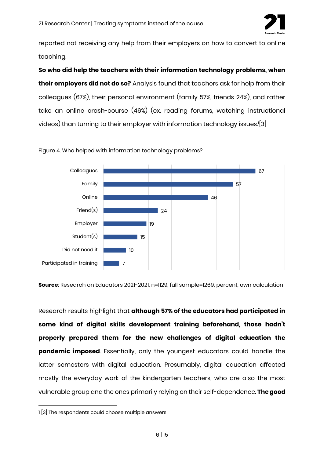

reported not receiving any help from their employers on how to convert to online teaching.

**So who did help the teachers with their information technology problems, when their employers did not do so?** Analysis found that teachers ask for help from their colleagues (67%), their personal environment (family 57%, friends 24%), and rather take an online crash-course (46%) (ex. reading forums, watching instructional videos) than turning to their employer with information technology issues.<sup>1</sup> [3]



Figure 4. Who helped with information technology problems?

**Source**: Research on Educators 2021-2021, n=1129, full sample=1269, percent, own calculation

Research results highlight that **although 57% of the educators had participated in some kind of digital skills development training beforehand, those hadn't properly prepared them for the new challenges of digital education the pandemic imposed**. Essentially, only the youngest educators could handle the latter semesters with digital education. Presumably, digital education affected mostly the everyday work of the kindergarten teachers, who are also the most vulnerable group and the ones primarily relying on their self-dependence. **The good** 

<sup>1</sup> [3] The respondents could choose multiple answers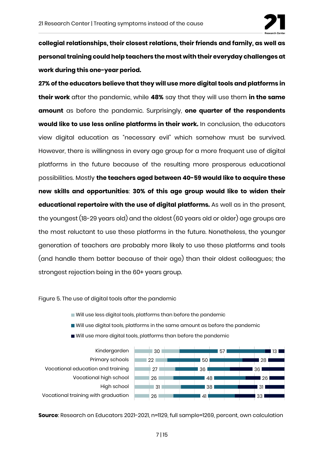

**collegial relationships, their closest relations, their friends and family, as well as personal training could help teachers the most with their everyday challenges at work during this one-year period.**

**27% of the educators believe that they will use more digital tools and platforms in their work** after the pandemic, while **48%** say that they will use them **in the same amount** as before the pandemic. Surprisingly, **one quarter of the respondents would like to use less online platforms in their work.** In conclusion, the educators view digital education as "necessary evil" which somehow must be survived. However, there is willingness in every age group for a more frequent use of digital platforms in the future because of the resulting more prosperous educational possibilities. Mostly **the teachers aged between 40-59 would like to acquire these new skills and opportunities**: **30% of this age group would like to widen their educational repertoire with the use of digital platforms.** As well as in the present, the youngest (18-29 years old) and the oldest (60 years old or older) age groups are the most reluctant to use these platforms in the future. Nonetheless, the younger generation of teachers are probably more likely to use these platforms and tools (and handle them better because of their age) than their oldest colleagues; the strongest rejection being in the 60+ years group.

Figure 5. The use of digital tools after the pandemic

- Will use less digital tools, platforms than before the pandemic
- Will use digital tools, platforms in the same amount as before the pandemic
- Will use more digital tools, platforms than before the pandemic



**Source**: Research on Educators 2021-2021, n=1129, full sample=1269, percent, own calculation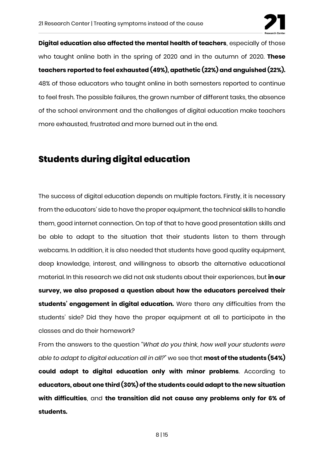

**Digital education also affected the mental health of teachers**, especially of those who taught online both in the spring of 2020 and in the autumn of 2020. **These teachers reported to feel exhausted (49%), apathetic (22%) and anguished (22%).**  48% of those educators who taught online in both semesters reported to continue to feel fresh. The possible failures, the grown number of different tasks, the absence of the school environment and the challenges of digital education make teachers more exhausted, frustrated and more burned out in the end.

#### **Students during digital education**

The success of digital education depends on multiple factors. Firstly, it is necessary from the educators' side to have the proper equipment, the technical skills to handle them, good internet connection. On top of that to have good presentation skills and be able to adapt to the situation that their students listen to them through webcams. In addition, it is also needed that students have good quality equipment, deep knowledge, interest, and willingness to absorb the alternative educational material. In this research we did not ask students about their experiences, but **in our survey, we also proposed a question about how the educators perceived their students' engagement in digital education.** Were there any difficulties from the students' side? Did they have the proper equipment at all to participate in the classes and do their homework?

From the answers to the question *"What do you think, how well your students were able to adapt to digital education all in all?"* we see that **most of the students (54%) could adapt to digital education only with minor problems**. According to **educators, about one third (30%) of the students could adapt to the new situation with difficulties**, and **the transition did not cause any problems only for 6% of students.**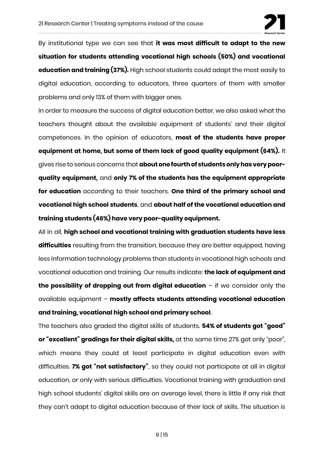

By institutional type we can see that **it was most difficult to adapt to the new situation for students attending vocational high schools (50%) and vocational education and training (37%).** High school students could adapt the most easily to digital education, according to educators, three quarters of them with smaller problems and only 13% of them with bigger ones.

In order to measure the success of digital education better, we also asked what the teachers thought about the available equipment of students' and their digital competences. In the opinion of educators, **most of the students have proper equipment at home, but some of them lack of good quality equipment (64%).** It gives rise to serious concerns that **about one fourth of students only has very poorquality equipment,** and **only 7% of the students has the equipment appropriate for education** according to their teachers. **One third of the primary school and vocational high school students**, and **about half of the vocational education and training students (46%) have very poor-quality equipment.**

All in all, **high school and vocational training with graduation students have less difficulties** resulting from the transition, because they are better equipped, having less information technology problems than students in vocational high schools and vocational education and training. Our results indicate: **the lack of equipment and the possibility of dropping out from digital education** – if we consider only the available equipment – **mostly affects students attending vocational education and training, vocational high school and primary school**.

The teachers also graded the digital skills of students. **54% of students got "good" or "excellent" gradings for their digital skills,** at the same time 27% got only "poor", which means they could at least participate in digital education even with difficulties. **7% got "not satisfactory"**, so they could not participate at all in digital education, or only with serious difficulties. Vocational training with graduation and high school students' digital skills are on average level, there is little if any risk that they can't adapt to digital education because of their lack of skills. The situation is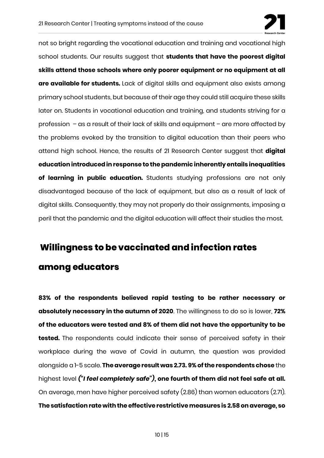

not so bright regarding the vocational education and training and vocational high school students. Our results suggest that **students that have the poorest digital skills attend those schools where only poorer equipment or no equipment at all are available for students.** Lack of digital skills and equipment also exists among primary school students, but because of their age they could still acquire these skills later on. Students in vocational education and training, and students striving for a profession – as a result of their lack of skills and equipment – are more affected by the problems evoked by the transition to digital education than their peers who attend high school. Hence, the results of 21 Research Center suggest that **digital education introduced in response to the pandemic inherently entails inequalities of learning in public education.** Students studying professions are not only disadvantaged because of the lack of equipment, but also as a result of lack of digital skills. Consequently, they may not properly do their assignments, imposing a peril that the pandemic and the digital education will affect their studies the most.

### **Willingness to be vaccinated and infection rates among educators**

**83% of the respondents believed rapid testing to be rather necessary or absolutely necessary in the autumn of 2020**. The willingness to do so is lower, **72% of the educators were tested and 8% of them did not have the opportunity to be tested.** The respondents could indicate their sense of perceived safety in their workplace during the wave of Covid in autumn, the question was provided alongside a 1-5 scale. **The average result was 2.73. 9% of the respondents chose** the highest level *("I feel completely safe")***, one fourth of them did not feel safe at all.**  On average, men have higher perceived safety (2.86) than women educators (2.71). **The satisfaction rate with the effective restrictive measures is 2.58 on average, so**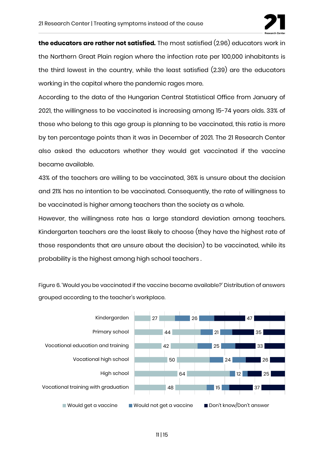

**the educators are rather not satisfied.** The most satisfied (2.96) educators work in the Northern Great Plain region where the infection rate per 100,000 inhabitants is the third lowest in the country, while the least satisfied (2.39) are the educators working in the capital where the pandemic rages more.

According to the data of the Hungarian Central Statistical Office from January of 2021, the willingness to be vaccinated is increasing among 15-74 years olds. 33% of those who belong to this age group is planning to be vaccinated, this ratio is more by ten percentage points than it was in December of 2021. The 21 Research Center also asked the educators whether they would get vaccinated if the vaccine became available.

43% of the teachers are willing to be vaccinated, 36% is unsure about the decision and 21% has no intention to be vaccinated. Consequently, the rate of willingness to be vaccinated is higher among teachers than the society as a whole.

However, the willingness rate has a large standard deviation among teachers. Kindergarten teachers are the least likely to choose (they have the highest rate of those respondents that are unsure about the decision) to be vaccinated, while its probability is the highest among high school teachers .

Figure 6. 'Would you be vaccinated if the vaccine became available?' Distribution of answers grouped according to the teacher's workplace.

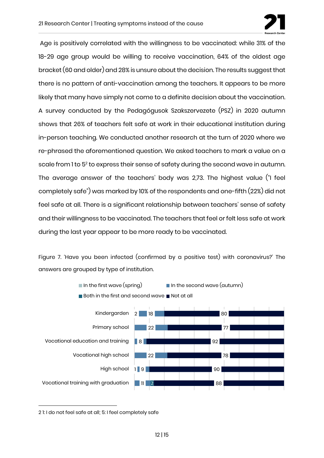

Age is positively correlated with the willingness to be vaccinated: while 31% of the 18-29 age group would be willing to receive vaccination, 64% of the oldest age bracket (60 and older) and 28% is unsure about the decision. The results suggest that there is no pattern of anti-vaccination among the teachers. It appears to be more likely that many have simply not come to a definite decision about the vaccination. A survey conducted by the Pedagógusok Szakszervezete (PSZ) in 2020 autumn shows that 26% of teachers felt safe at work in their educational institution during in-person teaching. We conducted another research at the turn of 2020 where we re-phrased the aforementioned question. We asked teachers to mark a value on a scale from 1 to 5<sup>2</sup> to express their sense of safety during the second wave in autumn. The average answer of the teachers' body was 2,73. The highest value ("I feel completely safe") was marked by 10% of the respondents and one-fifth (22%) did not feel safe at all. There is a significant relationship between teachers' sense of safety and their willingness to be vaccinated. The teachers that feel or felt less safe at work during the last year appear to be more ready to be vaccinated.

Figure 7. 'Have you been infected (confirmed by a positive test) with coronavirus?' The answers are grouped by type of institution.



2 1: I do not feel safe at all; 5: I feel completely safe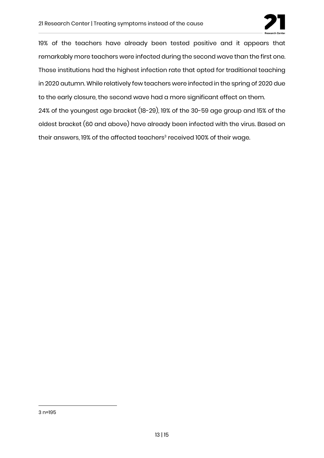

19% of the teachers have already been tested positive and it appears that remarkably more teachers were infected during the second wave than the first one. Those institutions had the highest infection rate that opted for traditional teaching in 2020 autumn. While relatively few teachers were infected in the spring of 2020 due to the early closure, the second wave had a more significant effect on them.

24% of the youngest age bracket (18-29), 19% of the 30-59 age group and 15% of the oldest bracket (60 and above) have already been infected with the virus. Based on their answers, 19% of the affected teachers<sup>3</sup> received 100% of their wage.

3 n=195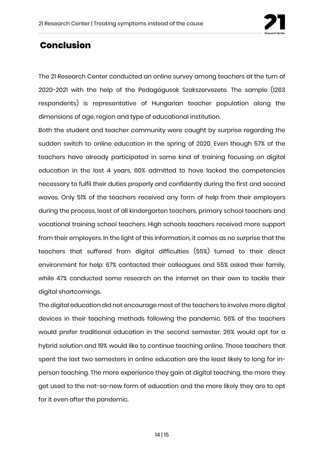

#### **Conclusion**

The 21 Research Center conducted an online survey among teachers at the turn of 2020-2021 with the help of the Pedagógusok Szakszervezete. The sample (1263 respondents) is representative of Hungarian teacher population along the dimensions of age, region and type of educational institution.

Both the student and teacher community were caught by surprise regarding the sudden switch to online education in the spring of 2020. Even though 57% of the teachers have already participated in some kind of training focusing on digital education in the last 4 years, 60% admitted to have lacked the competencies necessary to fulfil their duties properly and confidently during the first and second waves. Only 51% of the teachers received any form of help from their employers during the process, least of all kindergarten teachers, primary school teachers and vocational training school teachers. High schools teachers received more support from their employers. In the light of this information, it comes as no surprise that the teachers that suffered from digital difficulties (55%) turned to their direct environment for help: 67% contacted their colleagues and 55% asked their family, while 47% conducted some research on the internet on their own to tackle their digital shortcomings.

The digital education did not encourage most of the teachers to involve more digital devices in their teaching methods following the pandemic. 56% of the teachers would prefer traditional education in the second semester, 26% would opt for a hybrid solution and 19% would like to continue teaching online. Those teachers that spent the last two semesters in online education are the least likely to long for inperson teaching. The more experience they gain at digital teaching, the more they get used to the not-so-new form of education and the more likely they are to opt for it even after the pandemic.

14 | 15